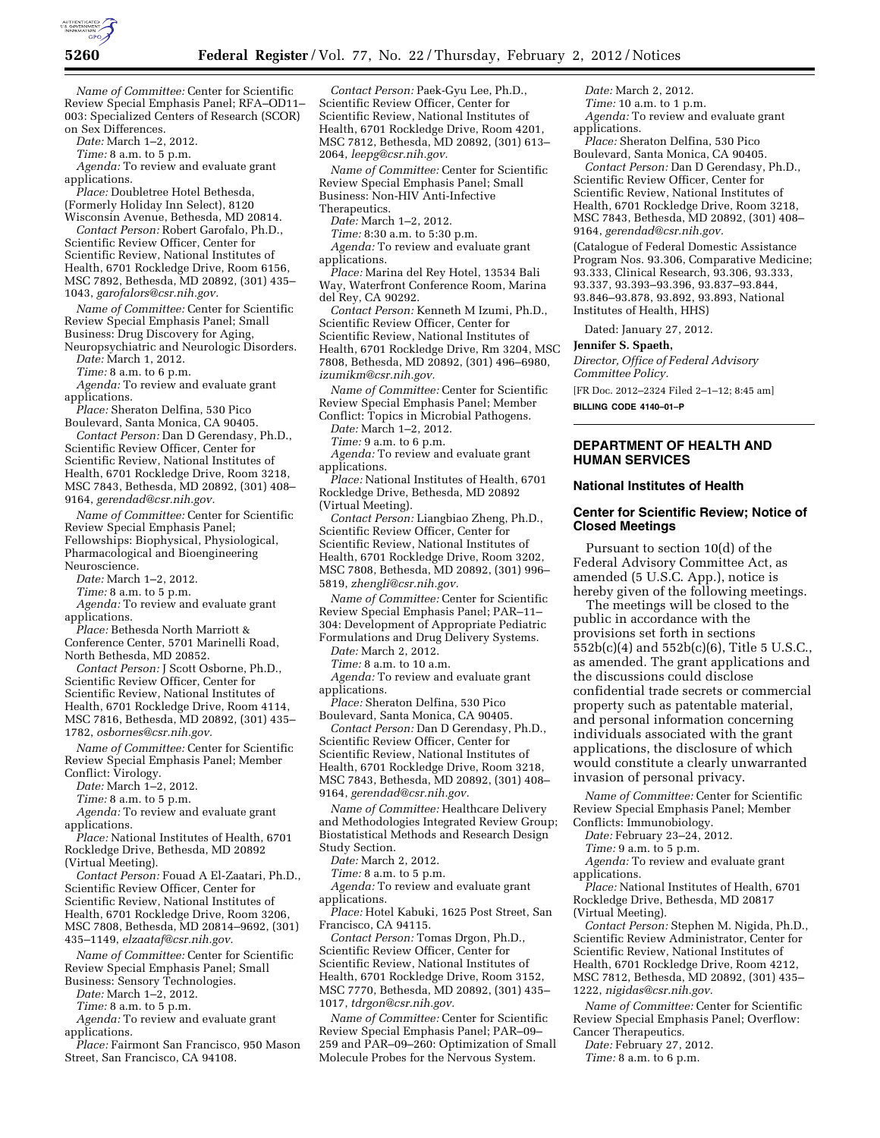

*Name of Committee:* Center for Scientific Review Special Emphasis Panel; RFA–OD11– 003: Specialized Centers of Research (SCOR) on Sex Differences.

*Date:* March 1–2, 2012.

*Time:* 8 a.m. to 5 p.m.

*Agenda:* To review and evaluate grant applications.

*Place:* Doubletree Hotel Bethesda, (Formerly Holiday Inn Select), 8120

Wisconsin Avenue, Bethesda, MD 20814. *Contact Person:* Robert Garofalo, Ph.D., Scientific Review Officer, Center for Scientific Review, National Institutes of Health, 6701 Rockledge Drive, Room 6156, MSC 7892, Bethesda, MD 20892, (301) 435– 1043, *[garofalors@csr.nih.gov.](mailto:garofalors@csr.nih.gov)* 

*Name of Committee:* Center for Scientific Review Special Emphasis Panel; Small Business: Drug Discovery for Aging,

Neuropsychiatric and Neurologic Disorders. *Date:* March 1, 2012.

*Time:* 8 a.m. to 6 p.m.

*Agenda:* To review and evaluate grant applications.

*Place:* Sheraton Delfina, 530 Pico Boulevard, Santa Monica, CA 90405.

*Contact Person:* Dan D Gerendasy, Ph.D., Scientific Review Officer, Center for Scientific Review, National Institutes of Health, 6701 Rockledge Drive, Room 3218, MSC 7843, Bethesda, MD 20892, (301) 408– 9164, *[gerendad@csr.nih.gov.](mailto:gerendad@csr.nih.gov)* 

*Name of Committee:* Center for Scientific Review Special Emphasis Panel; Fellowships: Biophysical, Physiological, Pharmacological and Bioengineering Neuroscience.

*Date:* March 1–2, 2012.

*Time:* 8 a.m. to 5 p.m.

*Agenda:* To review and evaluate grant applications.

*Place:* Bethesda North Marriott & Conference Center, 5701 Marinelli Road, North Bethesda, MD 20852.

*Contact Person:* J Scott Osborne, Ph.D., Scientific Review Officer, Center for Scientific Review, National Institutes of Health, 6701 Rockledge Drive, Room 4114, MSC 7816, Bethesda, MD 20892, (301) 435– 1782, *[osbornes@csr.nih.gov.](mailto:osbornes@csr.nih.gov)* 

*Name of Committee:* Center for Scientific Review Special Emphasis Panel; Member Conflict: Virology.

*Date:* March 1–2, 2012.

*Time:* 8 a.m. to 5 p.m.

*Agenda:* To review and evaluate grant applications.

*Place:* National Institutes of Health, 6701 Rockledge Drive, Bethesda, MD 20892

(Virtual Meeting).

*Contact Person:* Fouad A El-Zaatari, Ph.D., Scientific Review Officer, Center for Scientific Review, National Institutes of Health, 6701 Rockledge Drive, Room 3206, MSC 7808, Bethesda, MD 20814–9692, (301)

435–1149, *[elzaataf@csr.nih.gov.](mailto:elzaataf@csr.nih.gov)* 

*Name of Committee:* Center for Scientific Review Special Emphasis Panel; Small Business: Sensory Technologies.

*Date:* March 1–2, 2012.

*Time:* 8 a.m. to 5 p.m.

*Agenda:* To review and evaluate grant applications.

*Place:* Fairmont San Francisco, 950 Mason Street, San Francisco, CA 94108.

*Contact Person:* Paek-Gyu Lee, Ph.D., Scientific Review Officer, Center for Scientific Review, National Institutes of Health, 6701 Rockledge Drive, Room 4201, MSC 7812, Bethesda, MD 20892, (301) 613– 2064, *[leepg@csr.nih.gov.](mailto:leepg@csr.nih.gov)* 

*Name of Committee:* Center for Scientific Review Special Emphasis Panel; Small Business: Non-HIV Anti-Infective

Therapeutics.

*Date:* March 1–2, 2012. *Time:* 8:30 a.m. to 5:30 p.m.

*Agenda:* To review and evaluate grant applications.

*Place:* Marina del Rey Hotel, 13534 Bali Way, Waterfront Conference Room, Marina del Rey, CA 90292.

*Contact Person:* Kenneth M Izumi, Ph.D., Scientific Review Officer, Center for Scientific Review, National Institutes of Health, 6701 Rockledge Drive, Rm 3204, MSC 7808, Bethesda, MD 20892, (301) 496–6980, *[izumikm@csr.nih.gov.](mailto:izumikm@csr.nih.gov)* 

*Name of Committee:* Center for Scientific Review Special Emphasis Panel; Member Conflict: Topics in Microbial Pathogens.

*Date:* March 1–2, 2012.

*Time:* 9 a.m. to 6 p.m.

*Agenda:* To review and evaluate grant applications.

*Place:* National Institutes of Health, 6701 Rockledge Drive, Bethesda, MD 20892 (Virtual Meeting).

*Contact Person:* Liangbiao Zheng, Ph.D., Scientific Review Officer, Center for Scientific Review, National Institutes of Health, 6701 Rockledge Drive, Room 3202, MSC 7808, Bethesda, MD 20892, (301) 996– 5819, *[zhengli@csr.nih.gov.](mailto:zhengli@csr.nih.gov)* 

*Name of Committee:* Center for Scientific Review Special Emphasis Panel; PAR–11– 304: Development of Appropriate Pediatric Formulations and Drug Delivery Systems.

*Date:* March 2, 2012. *Time:* 8 a.m. to 10 a.m.

*Agenda:* To review and evaluate grant applications.

*Place:* Sheraton Delfina, 530 Pico Boulevard, Santa Monica, CA 90405.

*Contact Person:* Dan D Gerendasy, Ph.D., Scientific Review Officer, Center for Scientific Review, National Institutes of Health, 6701 Rockledge Drive, Room 3218, MSC 7843, Bethesda, MD 20892, (301) 408– 9164, *[gerendad@csr.nih.gov.](mailto:gerendad@csr.nih.gov)* 

*Name of Committee:* Healthcare Delivery and Methodologies Integrated Review Group; Biostatistical Methods and Research Design Study Section.

*Date:* March 2, 2012.

*Time:* 8 a.m. to 5 p.m.

*Agenda:* To review and evaluate grant applications.

*Place:* Hotel Kabuki, 1625 Post Street, San Francisco, CA 94115.

*Contact Person:* Tomas Drgon, Ph.D., Scientific Review Officer, Center for Scientific Review, National Institutes of Health, 6701 Rockledge Drive, Room 3152, MSC 7770, Bethesda, MD 20892, (301) 435– 1017, *[tdrgon@csr.nih.gov.](mailto:tdrgon@csr.nih.gov)* 

*Name of Committee:* Center for Scientific Review Special Emphasis Panel; PAR–09– 259 and PAR–09–260: Optimization of Small Molecule Probes for the Nervous System.

*Date:* March 2, 2012. *Time:* 10 a.m. to 1 p.m.

*Agenda:* To review and evaluate grant applications.

*Place:* Sheraton Delfina, 530 Pico Boulevard, Santa Monica, CA 90405.

*Contact Person:* Dan D Gerendasy, Ph.D., Scientific Review Officer, Center for Scientific Review, National Institutes of Health, 6701 Rockledge Drive, Room 3218, MSC 7843, Bethesda, MD 20892, (301) 408– 9164, *[gerendad@csr.nih.gov.](mailto:gerendad@csr.nih.gov)* 

(Catalogue of Federal Domestic Assistance Program Nos. 93.306, Comparative Medicine; 93.333, Clinical Research, 93.306, 93.333, 93.337, 93.393–93.396, 93.837–93.844, 93.846–93.878, 93.892, 93.893, National Institutes of Health, HHS)

Dated: January 27, 2012.

#### **Jennifer S. Spaeth,**

*Director, Office of Federal Advisory Committee Policy.* 

[FR Doc. 2012–2324 Filed 2–1–12; 8:45 am]

**BILLING CODE 4140–01–P** 

## **DEPARTMENT OF HEALTH AND HUMAN SERVICES**

#### **National Institutes of Health**

# **Center for Scientific Review; Notice of Closed Meetings**

Pursuant to section 10(d) of the Federal Advisory Committee Act, as amended (5 U.S.C. App.), notice is hereby given of the following meetings.

The meetings will be closed to the public in accordance with the provisions set forth in sections 552b(c)(4) and 552b(c)(6), Title 5 U.S.C., as amended. The grant applications and the discussions could disclose confidential trade secrets or commercial property such as patentable material, and personal information concerning individuals associated with the grant applications, the disclosure of which would constitute a clearly unwarranted invasion of personal privacy.

*Name of Committee:* Center for Scientific Review Special Emphasis Panel; Member Conflicts: Immunobiology.

*Date:* February 23–24, 2012.

*Time:* 9 a.m. to 5 p.m.

*Agenda:* To review and evaluate grant applications.

*Place:* National Institutes of Health, 6701 Rockledge Drive, Bethesda, MD 20817 (Virtual Meeting).

*Contact Person:* Stephen M. Nigida, Ph.D., Scientific Review Administrator, Center for Scientific Review, National Institutes of Health, 6701 Rockledge Drive, Room 4212, MSC 7812, Bethesda, MD 20892, (301) 435– 1222, *[nigidas@csr.nih.gov.](mailto:nigidas@csr.nih.gov)* 

*Name of Committee:* Center for Scientific Review Special Emphasis Panel; Overflow: Cancer Therapeutics.

*Date:* February 27, 2012.

*Time:* 8 a.m. to 6 p.m.